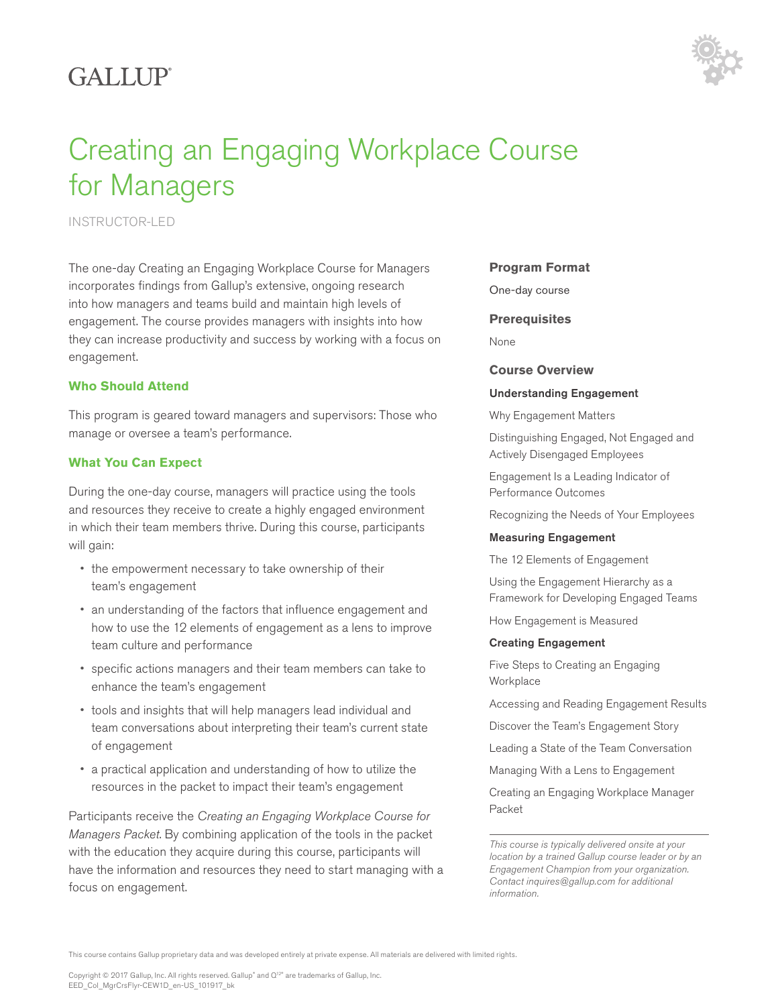# GALLUP<sup>®</sup>



# Creating an Engaging Workplace Course for Managers

INSTRUCTOR-LED

The one-day Creating an Engaging Workplace Course for Managers incorporates findings from Gallup's extensive, ongoing research into how managers and teams build and maintain high levels of engagement. The course provides managers with insights into how they can increase productivity and success by working with a focus on engagement.

### **Who Should Attend**

This program is geared toward managers and supervisors: Those who manage or oversee a team's performance.

## **What You Can Expect**

During the one-day course, managers will practice using the tools and resources they receive to create a highly engaged environment in which their team members thrive. During this course, participants will gain:

- the empowerment necessary to take ownership of their team's engagement
- an understanding of the factors that influence engagement and how to use the 12 elements of engagement as a lens to improve team culture and performance
- specific actions managers and their team members can take to enhance the team's engagement
- tools and insights that will help managers lead individual and team conversations about interpreting their team's current state of engagement
- a practical application and understanding of how to utilize the resources in the packet to impact their team's engagement

Participants receive the *Creating an Engaging Workplace Course for Managers Packet*. By combining application of the tools in the packet with the education they acquire during this course, participants will have the information and resources they need to start managing with a focus on engagement.

#### **Program Format**

One-day course

**Prerequisites**

None

#### **Course Overview**

#### Understanding Engagement

Why Engagement Matters

Distinguishing Engaged, Not Engaged and Actively Disengaged Employees

Engagement Is a Leading Indicator of Performance Outcomes

Recognizing the Needs of Your Employees

#### Measuring Engagement

The 12 Elements of Engagement

Using the Engagement Hierarchy as a Framework for Developing Engaged Teams

How Engagement is Measured

#### Creating Engagement

Five Steps to Creating an Engaging **Workplace** 

Accessing and Reading Engagement Results

Discover the Team's Engagement Story

Leading a State of the Team Conversation

Managing With a Lens to Engagement

Creating an Engaging Workplace Manager Packet

*This course is typically delivered onsite at your location by a trained Gallup course leader or by an Engagement Champion from your organization. Contact inquires@gallup.com for additional information.*

This course contains Gallup proprietary data and was developed entirely at private expense. All materials are delivered with limited rights.

Copyright © 2017 Gallup, Inc. All rights reserved. Gallup" and Q' $^{2^{\circ}}$  are trademarks of Gallup, Inc. EED\_Col\_MgrCrsFlyr-CEW1D\_en-US\_101917\_bk